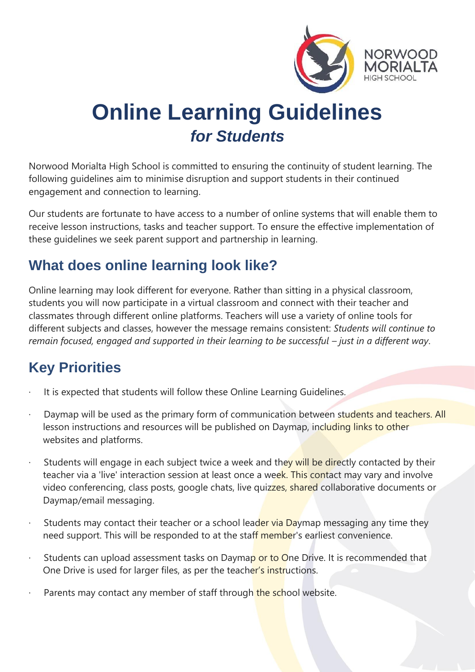

# **Online Learning Guidelines**  *for Students*

Norwood Morialta High School is committed to ensuring the continuity of student learning. The following guidelines aim to minimise disruption and support students in their continued engagement and connection to learning.

Our students are fortunate to have access to a number of online systems that will enable them to receive lesson instructions, tasks and teacher support. To ensure the effective implementation of these guidelines we seek parent support and partnership in learning.

### **What does online learning look like?**

Online learning may look different for everyone. Rather than sitting in a physical classroom, students you will now participate in a virtual classroom and connect with their teacher and classmates through different online platforms. Teachers will use a variety of online tools for different subjects and classes, however the message remains consistent: *Students will continue to remain focused, engaged and supported in their learning to be successful – just in a different way.* 

# **Key Priorities**

- It is expected that students will follow these Online Learning Guidelines.
- Daymap will be used as the primary form of communication between students and teachers. All lesson instructions and resources will be published on Daymap, including links to other websites and platforms.
- Students will engage in each subject twice a week and they will be directly contacted by their teacher via a 'live' interaction session at least once a week. This contact may vary and involve video conferencing, class posts, google chats, live quizzes, shared collaborative documents or Daymap/email messaging.
- Students may contact their teacher or a school leader via Daymap messaging any time they need support. This will be responded to at the staff member's earliest convenience.
- Students can upload assessment tasks on Daymap or to One Drive. It is recommended that One Drive is used for larger files, as per the teacher's instructions.
- Parents may contact any member of staff through the school website.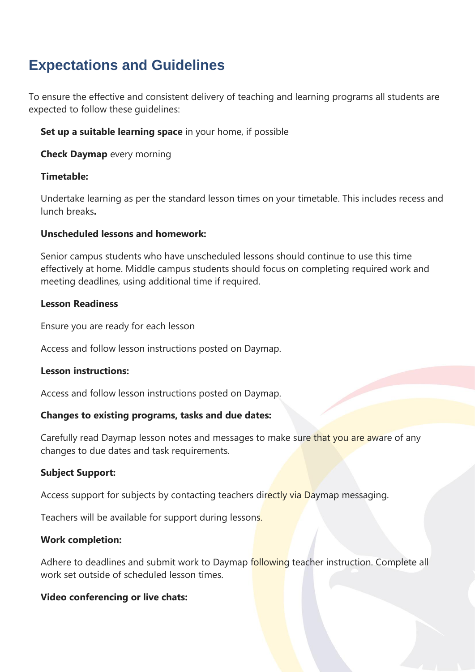## **Expectations and Guidelines**

To ensure the effective and consistent delivery of teaching and learning programs all students are expected to follow these guidelines:

**Set up a suitable learning space** in your home, if possible

**Check Daymap** every morning

#### **Timetable:**

Undertake learning as per the standard lesson times on your timetable. This includes recess and lunch breaks**.**

#### **Unscheduled lessons and homework:**

Senior campus students who have unscheduled lessons should continue to use this time effectively at home. Middle campus students should focus on completing required work and meeting deadlines, using additional time if required.

#### **Lesson Readiness**

Ensure you are ready for each lesson

Access and follow lesson instructions posted on Daymap.

#### **Lesson instructions:**

Access and follow lesson instructions posted on Daymap.

#### **Changes to existing programs, tasks and due dates:**

Carefully read Daymap lesson notes and messages to make sure that you are aware of any changes to due dates and task requirements.

#### **Subject Support:**

Access support for subjects by contacting teachers directly via Daymap messaging.

Teachers will be available for support during lessons.

#### **Work completion:**

Adhere to deadlines and submit work to Daymap following teacher instruction. Complete all work set outside of scheduled lesson times.

#### **Video conferencing or live chats:**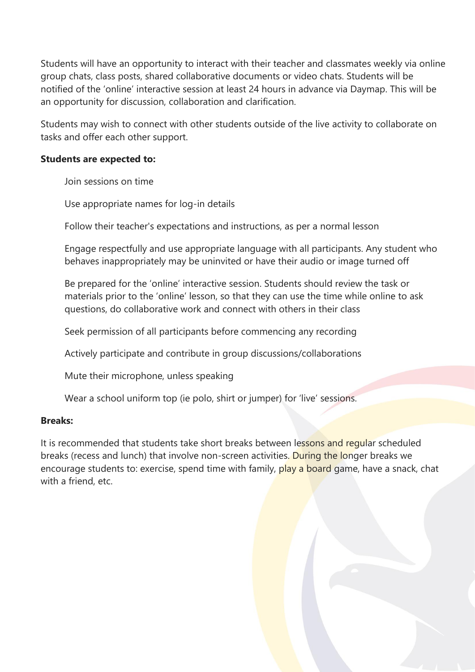Students will have an opportunity to interact with their teacher and classmates weekly via online group chats, class posts, shared collaborative documents or video chats. Students will be notified of the 'online' interactive session at least 24 hours in advance via Daymap. This will be an opportunity for discussion, collaboration and clarification.

Students may wish to connect with other students outside of the live activity to collaborate on tasks and offer each other support.

#### **Students are expected to:**

Join sessions on time

Use appropriate names for log-in details

Follow their teacher's expectations and instructions, as per a normal lesson

Engage respectfully and use appropriate language with all participants. Any student who behaves inappropriately may be uninvited or have their audio or image turned off

Be prepared for the 'online' interactive session. Students should review the task or materials prior to the 'online' lesson, so that they can use the time while online to ask questions, do collaborative work and connect with others in their class

Seek permission of all participants before commencing any recording

Actively participate and contribute in group discussions/collaborations

Mute their microphone, unless speaking

Wear a school uniform top (ie polo, shirt or jumper) for 'live' sessions.

#### **Breaks:**

It is recommended that students take short breaks between lessons and regular scheduled breaks (recess and lunch) that involve non-screen activities. During the longer breaks we encourage students to: exercise, spend time with family, play a board game, have a snack, chat with a friend, etc.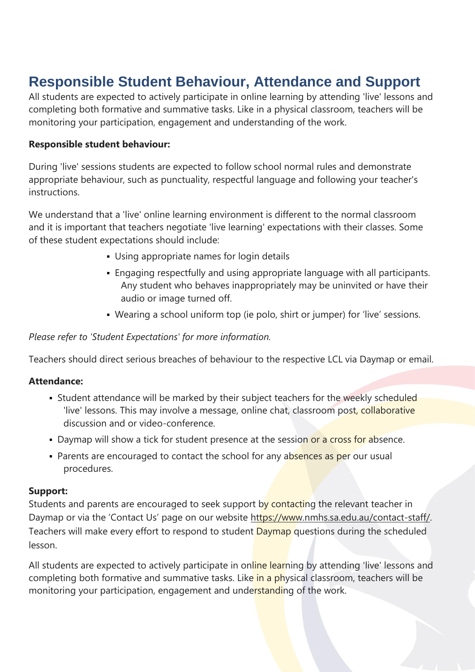# **Responsible Student Behaviour, Attendance and Support**

All students are expected to actively participate in online learning by attending 'live' lessons and completing both formative and summative tasks. Like in a physical classroom, teachers will be monitoring your participation, engagement and understanding of the work.

#### **Responsible student behaviour:**

During 'live' sessions students are expected to follow school normal rules and demonstrate appropriate behaviour, such as punctuality, respectful language and following your teacher's instructions.

We understand that a 'live' online learning environment is different to the normal classroom and it is important that teachers negotiate 'live learning' expectations with their classes. Some of these student expectations should include:

- **Using appropriate names for login details**
- Engaging respectfully and using appropriate language with all participants. Any student who behaves inappropriately may be uninvited or have their audio or image turned off.
- Wearing a school uniform top (ie polo, shirt or jumper) for 'live' sessions.

*Please refer to 'Student Expectations' for more information.*

Teachers should direct serious breaches of behaviour to the respective LCL via Daymap or email.

#### **Attendance:**

- **EXTER 15 Student attendance will be marked by their subject teachers for the weekly scheduled** 'live' lessons. This may involve a message, online chat, classroom post, collaborative discussion and or video-conference.
- Daymap will show a tick for student presence at the session or a cross for absence.
- Parents are encouraged to contact the school for any absences as per our usual procedures.

#### **Support:**

Students and parents are encouraged to seek support by contacting the relevant teacher in Daymap or via the 'Contact Us' page on our website [https://www.nmhs.sa.edu.au/contact-staff/.](https://www.nmhs.sa.edu.au/contact-staff/) Teachers will make every effort to respond to student **Daymap** questions during the scheduled lesson.

All students are expected to actively participate in online learning by attending 'live' lessons and completing both formative and summative tasks. Like in a physical classroom, teachers will be monitoring your participation, engagement and understanding of the work.